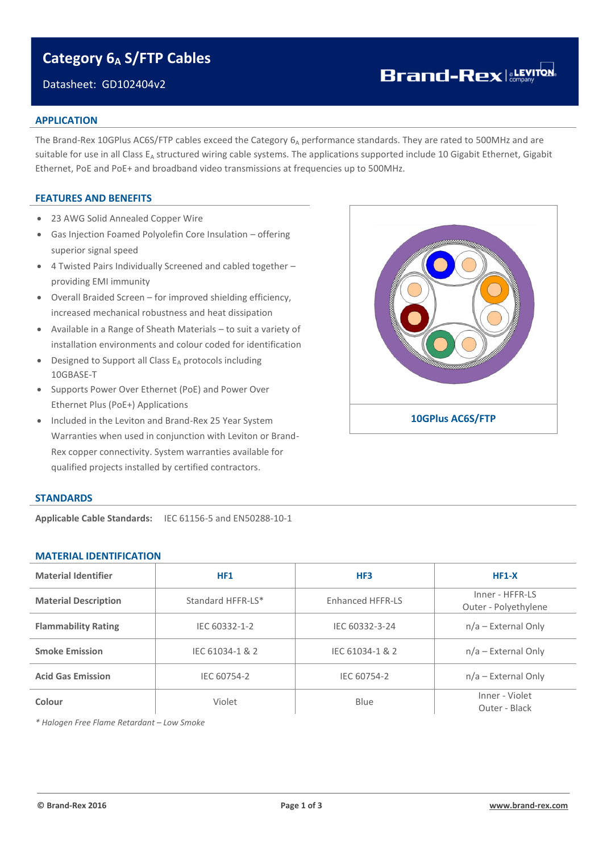## **Category 6<sup>A</sup> S/FTP Cables**

### Datasheet: GD102404v2

# **Brand-Rex** a**LEVITON**

#### **APPLICATION**

The Brand-Rex 10GPlus AC6S/FTP cables exceed the Category 6A performance standards. They are rated to 500MHz and are suitable for use in all Class  $E_A$  structured wiring cable systems. The applications supported include 10 Gigabit Ethernet, Gigabit Ethernet, PoE and PoE+ and broadband video transmissions at frequencies up to 500MHz.

#### **FEATURES AND BENEFITS**

- 23 AWG Solid Annealed Copper Wire
- Gas Injection Foamed Polyolefin Core Insulation offering superior signal speed
- 4 Twisted Pairs Individually Screened and cabled together providing EMI immunity
- Overall Braided Screen for improved shielding efficiency, increased mechanical robustness and heat dissipation
- Available in a Range of Sheath Materials to suit a variety of installation environments and colour coded for identification
- $\bullet$  Designed to Support all Class  $E_A$  protocols including 10GBASE-T
- Supports Power Over Ethernet (PoE) and Power Over Ethernet Plus (PoE+) Applications
- Included in the Leviton and Brand-Rex 25 Year System Warranties when used in conjunction with Leviton or Brand-Rex copper connectivity. System warranties available for qualified projects installed by certified contractors.



#### **STANDARDS**

**Applicable Cable Standards:** IEC 61156-5 and EN50288-10-1

#### **MATERIAL IDENTIFICATION**

| <b>Material Identifier</b>              | HF1               | HF3              | $HF1-X$                                 |  |  |
|-----------------------------------------|-------------------|------------------|-----------------------------------------|--|--|
| <b>Material Description</b>             | Standard HFFR-LS* | Enhanced HFFR-LS | Inner - HFFR-LS<br>Outer - Polyethylene |  |  |
| <b>Flammability Rating</b>              | IEC 60332-1-2     | IEC 60332-3-24   | $n/a$ – External Only                   |  |  |
| <b>Smoke Emission</b>                   | IEC 61034-1 & 2   | IEC 61034-1 & 2  | $n/a$ – External Only                   |  |  |
| <b>Acid Gas Emission</b><br>IEC 60754-2 |                   | IEC 60754-2      | $n/a$ – External Only                   |  |  |
| Colour                                  | Violet            | Blue             | Inner - Violet<br>Outer - Black         |  |  |

*\* Halogen Free Flame Retardant – Low Smoke*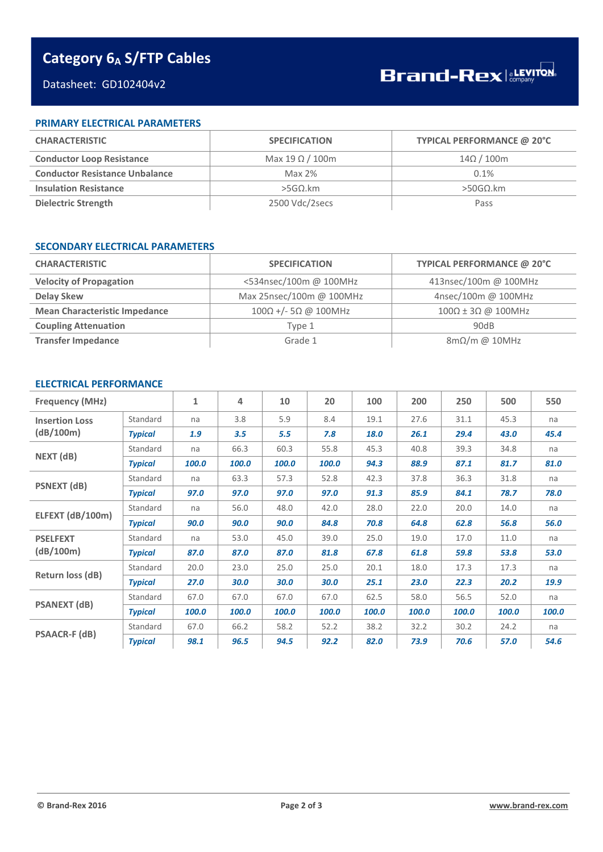# **Category 6<sup>A</sup> S/FTP Cables**

## Datasheet: GD102404v2

#### **PRIMARY ELECTRICAL PARAMETERS**

| <b>CHARACTERISTIC</b>                 | <b>SPECIFICATION</b>   | TYPICAL PERFORMANCE @ 20°C |  |  |
|---------------------------------------|------------------------|----------------------------|--|--|
| <b>Conductor Loop Resistance</b>      | Max 19 $\Omega$ / 100m | $14\Omega/100m$            |  |  |
| <b>Conductor Resistance Unbalance</b> | Max $2\%$              | 0.1%                       |  |  |
| <b>Insulation Resistance</b>          | $>$ 5GΩ.km             | $>$ 50GΩ.km                |  |  |
| Dielectric Strength                   | 2500 Vdc/2secs         | Pass                       |  |  |

#### **SECONDARY ELECTRICAL PARAMETERS**

| <b>CHARACTERISTIC</b>                | <b>SPECIFICATION</b>     | TYPICAL PERFORMANCE @ 20°C       |  |  |
|--------------------------------------|--------------------------|----------------------------------|--|--|
| <b>Velocity of Propagation</b>       | <534nsec/100m @ 100MHz   | 413nsec/100m @ 100MHz            |  |  |
| <b>Delay Skew</b>                    | Max 25nsec/100m @ 100MHz | 4nsec/100m @ 100MHz              |  |  |
| <b>Mean Characteristic Impedance</b> | $100Ω +/- 5Ω @ 100MHz$   | $100\Omega \pm 3\Omega$ @ 100MHz |  |  |
| <b>Coupling Attenuation</b>          | Tvpe 1                   | 90dB                             |  |  |
| <b>Transfer Impedance</b>            | Grade 1                  | $8m\Omega/m$ @ 10MHz             |  |  |

### **ELECTRICAL PERFORMANCE**

| <b>Frequency (MHz)</b>             |                | $\mathbf{1}$ | 4     | 10    | 20    | 100   | 200   | 250   | 500   | 550   |
|------------------------------------|----------------|--------------|-------|-------|-------|-------|-------|-------|-------|-------|
| <b>Insertion Loss</b><br>(dB/100m) | Standard       | na           | 3.8   | 5.9   | 8.4   | 19.1  | 27.6  | 31.1  | 45.3  | na    |
|                                    | <b>Typical</b> | 1.9          | 3.5   | 5.5   | 7.8   | 18.0  | 26.1  | 29.4  | 43.0  | 45.4  |
| NEXT (dB)                          | Standard       | na           | 66.3  | 60.3  | 55.8  | 45.3  | 40.8  | 39.3  | 34.8  | na    |
|                                    | <b>Typical</b> | 100.0        | 100.0 | 100.0 | 100.0 | 94.3  | 88.9  | 87.1  | 81.7  | 81.0  |
|                                    | Standard       | na           | 63.3  | 57.3  | 52.8  | 42.3  | 37.8  | 36.3  | 31.8  | na    |
| <b>PSNEXT (dB)</b>                 | <b>Typical</b> | 97.0         | 97.0  | 97.0  | 97.0  | 91.3  | 85.9  | 84.1  | 78.7  | 78.0  |
| ELFEXT (dB/100m)                   | Standard       | na           | 56.0  | 48.0  | 42.0  | 28.0  | 22.0  | 20.0  | 14.0  | na    |
|                                    | <b>Typical</b> | 90.0         | 90.0  | 90.0  | 84.8  | 70.8  | 64.8  | 62.8  | 56.8  | 56.0  |
| <b>PSELFEXT</b>                    | Standard       | na           | 53.0  | 45.0  | 39.0  | 25.0  | 19.0  | 17.0  | 11.0  | na    |
| (dB/100m)                          | <b>Typical</b> | 87.0         | 87.0  | 87.0  | 81.8  | 67.8  | 61.8  | 59.8  | 53.8  | 53.0  |
| Return loss (dB)                   | Standard       | 20.0         | 23.0  | 25.0  | 25.0  | 20.1  | 18.0  | 17.3  | 17.3  | na    |
|                                    | <b>Typical</b> | 27.0         | 30.0  | 30.0  | 30.0  | 25.1  | 23.0  | 22.3  | 20.2  | 19.9  |
| <b>PSANEXT (dB)</b>                | Standard       | 67.0         | 67.0  | 67.0  | 67.0  | 62.5  | 58.0  | 56.5  | 52.0  | na    |
|                                    | <b>Typical</b> | 100.0        | 100.0 | 100.0 | 100.0 | 100.0 | 100.0 | 100.0 | 100.0 | 100.0 |
| <b>PSAACR-F (dB)</b>               | Standard       | 67.0         | 66.2  | 58.2  | 52.2  | 38.2  | 32.2  | 30.2  | 24.2  | na    |
|                                    | <b>Typical</b> | 98.1         | 96.5  | 94.5  | 92.2  | 82.0  | 73.9  | 70.6  | 57.0  | 54.6  |